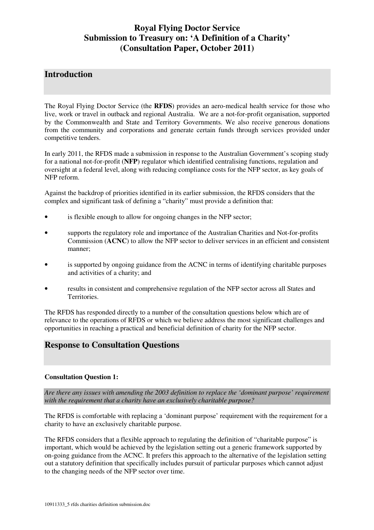# **Royal Flying Doctor Service Submission to Treasury on: 'A Definition of a Charity' (Consultation Paper, October 2011)**

## **Introduction**

The Royal Flying Doctor Service (the **RFDS**) provides an aero-medical health service for those who live, work or travel in outback and regional Australia. We are a not-for-profit organisation, supported by the Commonwealth and State and Territory Governments. We also receive generous donations from the community and corporations and generate certain funds through services provided under competitive tenders.

In early 2011, the RFDS made a submission in response to the Australian Government's scoping study for a national not-for-profit (**NFP**) regulator which identified centralising functions, regulation and oversight at a federal level, along with reducing compliance costs for the NFP sector, as key goals of NFP reform.

Against the backdrop of priorities identified in its earlier submission, the RFDS considers that the complex and significant task of defining a "charity" must provide a definition that:

- is flexible enough to allow for ongoing changes in the NFP sector;
- supports the regulatory role and importance of the Australian Charities and Not-for-profits Commission (**ACNC**) to allow the NFP sector to deliver services in an efficient and consistent manner;
- is supported by ongoing guidance from the ACNC in terms of identifying charitable purposes and activities of a charity; and
- results in consistent and comprehensive regulation of the NFP sector across all States and Territories.

The RFDS has responded directly to a number of the consultation questions below which are of relevance to the operations of RFDS or which we believe address the most significant challenges and opportunities in reaching a practical and beneficial definition of charity for the NFP sector.

# **Response to Consultation Questions**

#### **Consultation Question 1:**

*Are there any issues with amending the 2003 definition to replace the 'dominant purpose' requirement with the requirement that a charity have an exclusively charitable purpose?* 

The RFDS is comfortable with replacing a 'dominant purpose' requirement with the requirement for a charity to have an exclusively charitable purpose.

The RFDS considers that a flexible approach to regulating the definition of "charitable purpose" is important, which would be achieved by the legislation setting out a generic framework supported by on-going guidance from the ACNC. It prefers this approach to the alternative of the legislation setting out a statutory definition that specifically includes pursuit of particular purposes which cannot adjust to the changing needs of the NFP sector over time.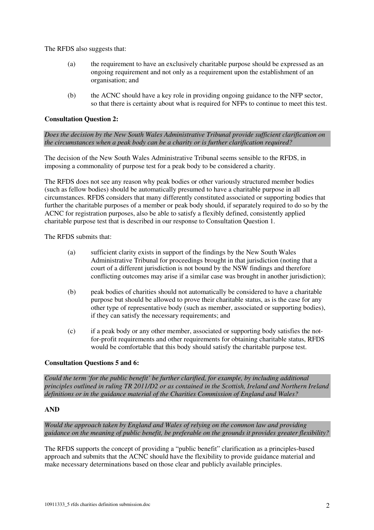The RFDS also suggests that:

- (a) the requirement to have an exclusively charitable purpose should be expressed as an ongoing requirement and not only as a requirement upon the establishment of an organisation; and
- (b) the ACNC should have a key role in providing ongoing guidance to the NFP sector, so that there is certainty about what is required for NFPs to continue to meet this test.

#### **Consultation Question 2:**

*Does the decision by the New South Wales Administrative Tribunal provide sufficient clarification on the circumstances when a peak body can be a charity or is further clarification required?* 

The decision of the New South Wales Administrative Tribunal seems sensible to the RFDS, in imposing a commonality of purpose test for a peak body to be considered a charity.

The RFDS does not see any reason why peak bodies or other variously structured member bodies (such as fellow bodies) should be automatically presumed to have a charitable purpose in all circumstances. RFDS considers that many differently constituted associated or supporting bodies that further the charitable purposes of a member or peak body should, if separately required to do so by the ACNC for registration purposes, also be able to satisfy a flexibly defined, consistently applied charitable purpose test that is described in our response to Consultation Question 1.

The RFDS submits that:

- (a) sufficient clarity exists in support of the findings by the New South Wales Administrative Tribunal for proceedings brought in that jurisdiction (noting that a court of a different jurisdiction is not bound by the NSW findings and therefore conflicting outcomes may arise if a similar case was brought in another jurisdiction);
- (b) peak bodies of charities should not automatically be considered to have a charitable purpose but should be allowed to prove their charitable status, as is the case for any other type of representative body (such as member, associated or supporting bodies), if they can satisfy the necessary requirements; and
- (c) if a peak body or any other member, associated or supporting body satisfies the notfor-profit requirements and other requirements for obtaining charitable status, RFDS would be comfortable that this body should satisfy the charitable purpose test.

#### **Consultation Questions 5 and 6:**

*Could the term 'for the public benefit' be further clarified, for example, by including additional principles outlined in ruling TR 2011/D2 or as contained in the Scottish, Ireland and Northern Ireland definitions or in the guidance material of the Charities Commission of England and Wales?* 

#### **AND**

*Would the approach taken by England and Wales of relying on the common law and providing guidance on the meaning of public benefit, be preferable on the grounds it provides greater flexibility?* 

The RFDS supports the concept of providing a "public benefit" clarification as a principles-based approach and submits that the ACNC should have the flexibility to provide guidance material and make necessary determinations based on those clear and publicly available principles.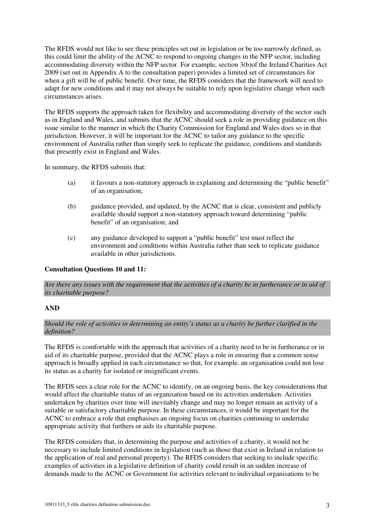The RFDS would not like to see these principles set out in legislation or be too narrowly defined, as this could limit the ability of the ACNC to respond to ongoing changes in the NFP sector, including accommodating diversity within the NFP sector. For example, section 3(b)of the Ireland Charities Act 2009 (set out in Appendix A to the consultation paper) provides a limited set of circumstances for when a gift will be of public benefit. Over time, the RFDS considers that the framework will need to adapt for new conditions and it may not always be suitable to rely upon legislative change when such circumstances arises.

The RFDS supports the approach taken for flexibility and accommodating diversity of the sector such as in England and Wales, and submits that the ACNC should seek a role in providing guidance on this issue similar to the manner in which the Charity Commission for England and Wales does so in that jurisdiction. However, it will be important for the ACNC to tailor any guidance to the specific environment of Australia rather than simply seek to replicate the guidance, conditions and standards that presently exist in England and Wales.

In summary, the RFDS submits that:

- (a) it favours a non-statutory approach in explaining and determining the "public benefit" of an organisation;
- (b) guidance provided, and updated, by the ACNC that is clear, consistent and publicly available should support a non-statutory approach toward determining "public benefit" of an organisation; and
- (c) any guidance developed to support a "public benefit" test must reflect the environment and conditions within Australia rather than seek to replicate guidance available in other jurisdictions.

#### **Consultation Questions 10 and 11:**

*Are there any issues with the requirement that the activities of a charity be in furtherance or in aid of its charitable purpose?* 

#### **AND**

*Should the role of activities in determining an entity's status as a charity be further clarified in the definition?* 

The RFDS is comfortable with the approach that activities of a charity need to be in furtherance or in aid of its charitable purpose, provided that the ACNC plays a role in ensuring that a common sense approach is broadly applied in each circumstance so that, for example, an organisation could not lose its status as a charity for isolated or insignificant events.

The RFDS sees a clear role for the ACNC to identify, on an ongoing basis, the key considerations that would affect the charitable status of an organisation based on its activities undertaken. Activities undertaken by charities over time will inevitably change and may no longer remain an activity of a suitable or satisfactory charitable purpose. In these circumstances, it would be important for the ACNC to embrace a role that emphasises an ongoing focus on charities continuing to undertake appropriate activity that furthers or aids its charitable purpose.

The RFDS considers that, in determining the purpose and activities of a charity, it would not be necessary to include limited conditions in legislation (such as those that exist in Ireland in relation to the application of real and personal property). The RFDS considers that seeking to include specific examples of activities in a legislative definition of charity could result in an sudden increase of demands made to the ACNC or Government for activities relevant to individual organisations to be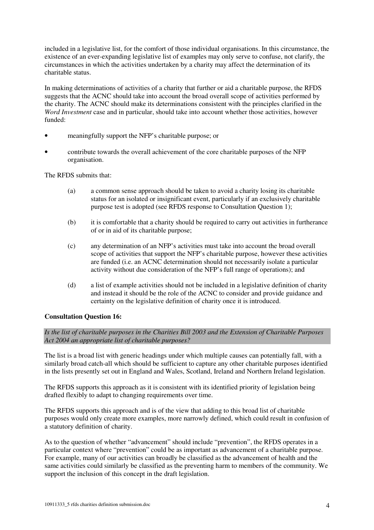included in a legislative list, for the comfort of those individual organisations. In this circumstance, the existence of an ever-expanding legislative list of examples may only serve to confuse, not clarify, the circumstances in which the activities undertaken by a charity may affect the determination of its charitable status.

In making determinations of activities of a charity that further or aid a charitable purpose, the RFDS suggests that the ACNC should take into account the broad overall scope of activities performed by the charity. The ACNC should make its determinations consistent with the principles clarified in the *Word Investment* case and in particular, should take into account whether those activities, however funded:

- meaningfully support the NFP's charitable purpose; or
- contribute towards the overall achievement of the core charitable purposes of the NFP organisation.

The RFDS submits that:

- (a) a common sense approach should be taken to avoid a charity losing its charitable status for an isolated or insignificant event, particularly if an exclusively charitable purpose test is adopted (see RFDS response to Consultation Question 1);
- (b) it is comfortable that a charity should be required to carry out activities in furtherance of or in aid of its charitable purpose;
- (c) any determination of an NFP's activities must take into account the broad overall scope of activities that support the NFP's charitable purpose, however these activities are funded (i.e. an ACNC determination should not necessarily isolate a particular activity without due consideration of the NFP's full range of operations); and
- (d) a list of example activities should not be included in a legislative definition of charity and instead it should be the role of the ACNC to consider and provide guidance and certainty on the legislative definition of charity once it is introduced.

### **Consultation Question 16:**

*Is the list of charitable purposes in the Charities Bill 2003 and the Extension of Charitable Purposes Act 2004 an appropriate list of charitable purposes?* 

The list is a broad list with generic headings under which multiple causes can potentially fall, with a similarly broad catch-all which should be sufficient to capture any other charitable purposes identified in the lists presently set out in England and Wales, Scotland, Ireland and Northern Ireland legislation.

The RFDS supports this approach as it is consistent with its identified priority of legislation being drafted flexibly to adapt to changing requirements over time.

The RFDS supports this approach and is of the view that adding to this broad list of charitable purposes would only create more examples, more narrowly defined, which could result in confusion of a statutory definition of charity.

As to the question of whether "advancement" should include "prevention", the RFDS operates in a particular context where "prevention" could be as important as advancement of a charitable purpose. For example, many of our activities can broadly be classified as the advancement of health and the same activities could similarly be classified as the preventing harm to members of the community. We support the inclusion of this concept in the draft legislation.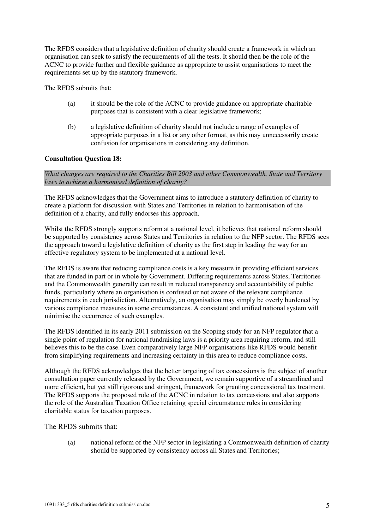The RFDS considers that a legislative definition of charity should create a framework in which an organisation can seek to satisfy the requirements of all the tests. It should then be the role of the ACNC to provide further and flexible guidance as appropriate to assist organisations to meet the requirements set up by the statutory framework.

The RFDS submits that:

- (a) it should be the role of the ACNC to provide guidance on appropriate charitable purposes that is consistent with a clear legislative framework;
- (b) a legislative definition of charity should not include a range of examples of appropriate purposes in a list or any other format, as this may unnecessarily create confusion for organisations in considering any definition.

### **Consultation Question 18:**

*What changes are required to the Charities Bill 2003 and other Commonwealth, State and Territory laws to achieve a harmonised definition of charity?* 

The RFDS acknowledges that the Government aims to introduce a statutory definition of charity to create a platform for discussion with States and Territories in relation to harmonisation of the definition of a charity, and fully endorses this approach.

Whilst the RFDS strongly supports reform at a national level, it believes that national reform should be supported by consistency across States and Territories in relation to the NFP sector. The RFDS sees the approach toward a legislative definition of charity as the first step in leading the way for an effective regulatory system to be implemented at a national level.

The RFDS is aware that reducing compliance costs is a key measure in providing efficient services that are funded in part or in whole by Government. Differing requirements across States, Territories and the Commonwealth generally can result in reduced transparency and accountability of public funds, particularly where an organisation is confused or not aware of the relevant compliance requirements in each jurisdiction. Alternatively, an organisation may simply be overly burdened by various compliance measures in some circumstances. A consistent and unified national system will minimise the occurrence of such examples.

The RFDS identified in its early 2011 submission on the Scoping study for an NFP regulator that a single point of regulation for national fundraising laws is a priority area requiring reform, and still believes this to be the case. Even comparatively large NFP organisations like RFDS would benefit from simplifying requirements and increasing certainty in this area to reduce compliance costs.

Although the RFDS acknowledges that the better targeting of tax concessions is the subject of another consultation paper currently released by the Government, we remain supportive of a streamlined and more efficient, but yet still rigorous and stringent, framework for granting concessional tax treatment. The RFDS supports the proposed role of the ACNC in relation to tax concessions and also supports the role of the Australian Taxation Office retaining special circumstance rules in considering charitable status for taxation purposes.

The RFDS submits that:

(a) national reform of the NFP sector in legislating a Commonwealth definition of charity should be supported by consistency across all States and Territories;